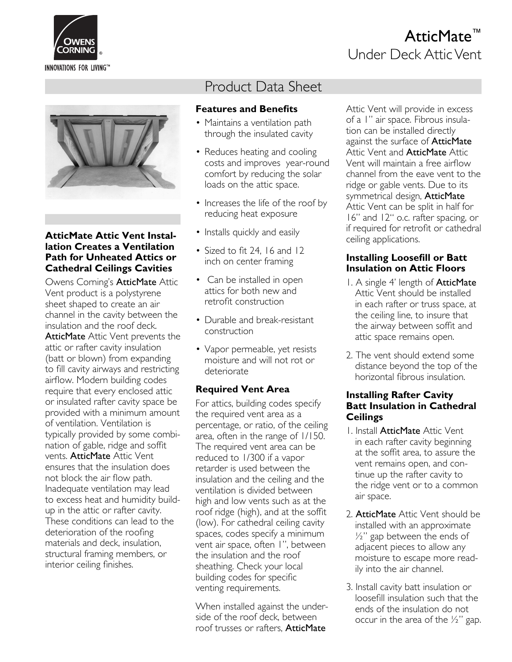

# AtticMate™ Under Deck Attic Vent



#### **AtticMate Attic Vent Installation Creates a Ventilation Path for Unheated Attics or Cathedral Ceilings Cavities**

Owens Corning's AtticMate Attic Vent product is a polystyrene sheet shaped to create an air channel in the cavity between the insulation and the roof deck. AtticMate Attic Vent prevents the attic or rafter cavity insulation (batt or blown) from expanding to fill cavity airways and restricting airflow. Modern building codes require that every enclosed attic or insulated rafter cavity space be provided with a minimum amount of ventilation. Ventilation is typically provided by some combination of gable, ridge and soffit vents. AtticMate Attic Vent ensures that the insulation does not block the air flow path. Inadequate ventilation may lead to excess heat and humidity buildup in the attic or rafter cavity. These conditions can lead to the deterioration of the roofing materials and deck, insulation, structural framing members, or interior ceiling finishes.

# Product Data Sheet

## **Features and Benefits**

- Maintains a ventilation path through the insulated cavity
- Reduces heating and cooling costs and improves year-round comfort by reducing the solar loads on the attic space.
- Increases the life of the roof by reducing heat exposure
- Installs quickly and easily
- Sized to fit 24,  $16$  and  $12$ inch on center framing
- Can be installed in open attics for both new and retrofit construction
- Durable and break-resistant construction
- Vapor permeable, yet resists moisture and will not rot or deteriorate

## **Required Vent Area**

For attics, building codes specify the required vent area as a percentage, or ratio, of the ceiling area, often in the range of 1/150. The required vent area can be reduced to 1/300 if a vapor retarder is used between the insulation and the ceiling and the ventilation is divided between high and low vents such as at the roof ridge (high), and at the soffit (low). For cathedral ceiling cavity spaces, codes specify a minimum vent air space, often 1", between the insulation and the roof sheathing. Check your local building codes for specific venting requirements.

When installed against the underside of the roof deck, between roof trusses or rafters, AtticMate

Attic Vent will provide in excess of a 1" air space. Fibrous insulation can be installed directly against the surface of **AtticMate** Attic Vent and **AtticMate** Attic Vent will maintain a free airflow channel from the eave vent to the ridge or gable vents. Due to its symmetrical design, AtticMate Attic Vent can be split in half for 16" and 12" o.c. rafter spacing, or if required for retrofit or cathedral ceiling applications.

## **Installing Loosefill or Batt Insulation on Attic Floors**

- 1. A single 4' length of **AtticMate** Attic Vent should be installed in each rafter or truss space, at the ceiling line, to insure that the airway between soffit and attic space remains open.
- 2. The vent should extend some distance beyond the top of the horizontal fibrous insulation.

#### **Installing Rafter Cavity Batt Insulation in Cathedral Ceilings**

- 1. Install AtticMate Attic Vent in each rafter cavity beginning at the soffit area, to assure the vent remains open, and continue up the rafter cavity to the ridge vent or to a common air space.
- 2. AtticMate Attic Vent should be installed with an approximate  $\frac{1}{2}$ " gap between the ends of adjacent pieces to allow any moisture to escape more readily into the air channel.
- 3. Install cavity batt insulation or loosefill insulation such that the ends of the insulation do not occur in the area of the  $\frac{1}{2}$ " gap.